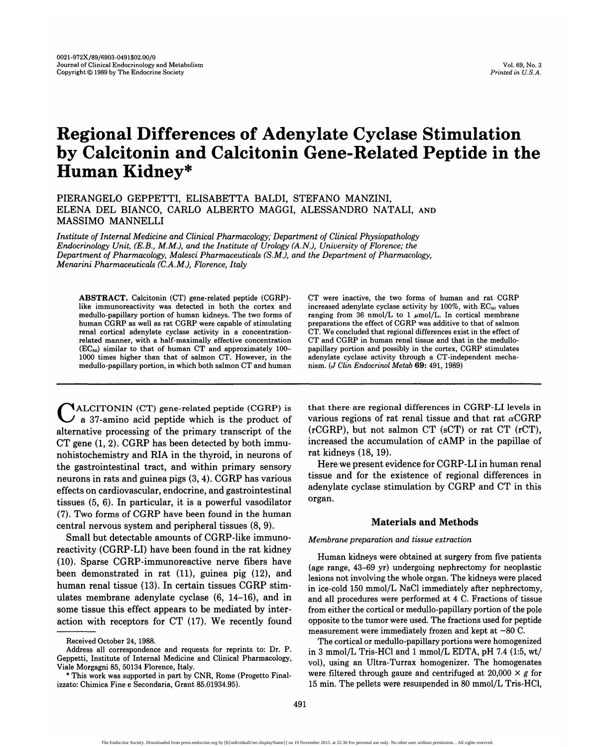# **Regional Differences of Adenylate Cyclase Stimulation by Calcitonin and Calcitonin Gene-Related Peptide in the Human Kidney\***

PIERANGELO GEPPETTI, ELISABETTA BALDI, STEFANO MANZINI, ELENA DEL BIANCO, CARLO ALBERTO MAGGI, ALESSANDRO NATALI, AND MASSIMO MANNELLI

*Institute of Internal Medicine and Clinical Pharmacology; Department of Clinical Physiopathology Endocrinology Unit, (E.B., MM.), and the Institute of Urology (A.N.), University of Florence; the Department of Pharmacology, Malesci Pharmaceuticals (S.M.), and the Department of Pharmacology, Menarini Pharmaceuticals (C.A.M.), Florence, Italy*

**ABSTRACT.** Calcitonin (CT) gene-related peptide (CGRP) like immunoreactivity was detected in both the cortex and medullo-papillary portion of human kidneys. The two forms of human CGRP as well as rat CGRP were capable of stimulating renal cortical adenylate cyclase activity in a concentrationrelated manner, with a half-maximally effective concentration  $(EC_{50})$  similar to that of human CT and approximately 100-1000 times higher than that of salmon CT. However, in the medullo-papillary portion, in which both salmon CT and human

 $\mathcal{N}_{\text{ALCITONIN}}$  (CT) gene-related peptide (CGRP) is  $\angle$  a 37-amino acid peptide which is the product of alternative processing of the primary transcript of the CT gene (1, 2). CGRP has been detected by both immunohistochemistry and RIA in the thyroid, in neurons of the gastrointestinal tract, and within primary sensory neurons in rats and guinea pigs (3, 4). CGRP has various effects on cardiovascular, endocrine, and gastrointestinal tissues (5, 6). In particular, it is a powerful vasodilator (7). Two forms of CGRP have been found in the human central nervous system and peripheral tissues (8, 9).

Small but detectable amounts of CGRP-like immunoreactivity (CGRP-LI) have been found in the rat kidney (10). Sparse CGRP-immunoreactive nerve fibers have been demonstrated in rat (11), guinea pig (12), and human renal tissue (13). In certain tissues CGRP stimulates membrane adenylate cyclase (6, 14-16), and in some tissue this effect appears to be mediated by interaction with receptors for CT (17). We recently found CT were inactive, the two forms of human and rat CGRP increased adenylate cyclase activity by  $100\%$ , with  $EC_{50}$  values ranging from  $36$  nmol/L to 1  $\mu$ mol/L. In cortical membrane preparations the effect of CGRP was additive to that of salmon CT. We concluded that regional differences exist in the effect of CT and CGRP in human renal tissue and that in the medullopapillary portion and possibly in the cortex, CGRP stimulates adenylate cyclase activity through a CT-independent mechanism. *(J Clin Endocrinol Metab* 69: 491, 1989)

that there are regional differences in CGRP-LI levels in various regions of rat renal tissue and that rat  $\alpha$ CGRP (rCGRP), but not salmon CT (sCT) or rat CT (rCT), increased the accumulation of cAMP in the papillae of rat kidneys (18,19).

Here we present evidence for CGRP-LI in human renal tissue and for the existence of regional differences in adenylate cyclase stimulation by CGRP and CT in this organ.

## **Materials and Methods**

#### *Membrane preparation and tissue extraction*

Human kidneys were obtained at surgery from five patients (age range, 43-69 yr) undergoing nephrectomy for neoplastic lesions not involving the whole organ. The kidneys were placed in ice-cold 150 mmol/L NaCl immediately after nephrectomy, and all procedures were performed at 4 C. Fractions of tissue from either the cortical or medullo-papillary portion of the pole opposite to the tumor were used. The fractions used for peptide measurement were immediately frozen and kept at —80 C.

The cortical or medullo-papillary portions were homogenized in 3 mmol/L Tris-HCl and 1 mmol/L EDTA, pH 7.4 (1:5, wt/ vol), using an Ultra-Turrax homogenizer. The homogenates were filtered through gauze and centrifuged at  $20,000 \times g$  for 15 min. The pellets were resuspended in 80 mmol/L Tris-HCl,

Received October 24,1988.

Address all correspondence and requests for reprints to: Dr. P. Geppetti, Institute of Internal Medicine and Clinical Pharmacology, iale Morgagni 85, 50134 Florence, Italy.

<sup>\*</sup> This work was supported in part by CNR, Rome (Progetto Finalizzato: Chimica Fine e Secondaria, Grant 85.01934.95).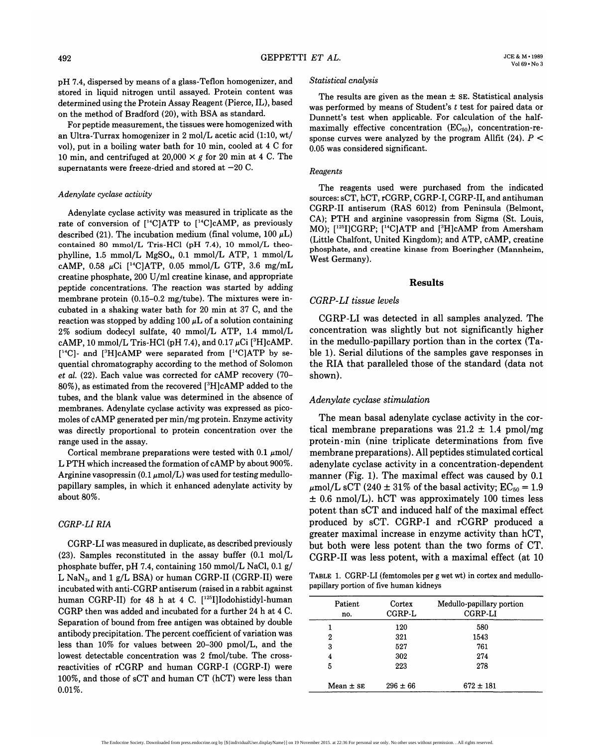pH 7.4, dispersed by means of a glass-Teflon homogenizer, and stored in liquid nitrogen until assayed. Protein content was determined using the Protein Assay Reagent (Pierce, IL), based on the method of Bradford (20), with BSA as standard.

For peptide measurement, the tissues were homogenized with an Ultra-Turrax homogenizer in 2 mol/L acetic acid (1:10, wt/ vol), put in a boiling water bath for 10 min, cooled at 4 C for 10 min, and centrifuged at  $20,000 \times g$  for 20 min at 4 C. The supernatants were freeze-dried and stored at  $-20$  C.

#### *Adenylate cyclase activity*

Adenylate cyclase activity was measured in triplicate as the rate of conversion of  $[^{14}C]ATP$  to  $[^{14}C]cAMP$ , as previously described (21). The incubation medium (final volume,  $100 \mu L$ ) contained 80 mmol/L Tris-HCl (pH 7.4), 10 mmol/L theophylline, 1.5 mmol/L MgSO4, 0.1 mmol/L ATP, 1 mmol/L cAMP, 0.58  $\mu$ Ci [<sup>14</sup>C]ATP, 0.05 mmol/L GTP, 3.6 mg/mL creatine phosphate, 200 U/ml creatine kinase, and appropriate peptide concentrations. The reaction was started by adding membrane protein (0.15-0.2 mg/tube). The mixtures were incubated in a shaking water bath for 20 min at 37 C, and the reaction was stopped by adding 100  $\mu$ L of a solution containing 2% sodium dodecyl sulfate, 40 mmol/L ATP, 1.4 mmol/L  $\rm cAMP, 10\ mmol/L\ Tris-HCl$  (pH 7.4), and  $0.17\ \rm \mu Ci$  [ $\rm ^3H]cAMP.$ [<sup>14</sup>C]- and [<sup>3</sup>H]cAMP were separated from [<sup>14</sup>C]ATP by sequential chromatography according to the method of Solomon *et al.* (22). Each value was corrected for cAMP recovery (70- 80%), as estimated from the recovered [<sup>3</sup>H]cAMP added to the tubes, and the blank value was determined in the absence of membranes. Adenylate cyclase activity was expressed as picomoles of cAMP generated per min/mg protein. Enzyme activity was directly proportional to protein concentration over the range used in the assay.

Cortical membrane preparations were tested with  $0.1 \mu$ mol/ L PTH which increased the formation of cAMP by about 900%. Arginine vasopressin (0.1  $\mu$ mol/L) was used for testing medullopapillary samples, in which it enhanced adenylate activity by about 80%.

# *CGRP-LIRIA*

CGRP-LI was measured in duplicate, as described previously (23). Samples reconstituted in the assay buffer (0.1 mol/L phosphate buffer, pH 7.4, containing 150 mmol/L NaCl, 0.1 g/ L NaN<sub>3</sub>, and 1  $g/L$  BSA) or human CGRP-II (CGRP-II) were incubated with anti-CGRP antiserum (raised in a rabbit against human CGRP-II) for 48 h at 4 C. [<sup>125</sup>I]Iodohistidyl-human CGRP then was added and incubated for a further 24 h at 4 C. Separation of bound from free antigen was obtained by double antibody precipitation. The percent coefficient of variation was less than 10% for values between 20-300 pmol/L, and the lowest detectable concentration was 2 fmol/tube. The crossreactivities of rCGRP and human CGRP-I (CGRP-I) were 100%, and those of sCT and human CT (hCT) were less than 0.01%.

#### *Statistical analysis*

The results are given as the mean  $\pm$  SE. Statistical analysis was performed by means of Student's *t* test for paired data or Dunnett's test when applicable. For calculation of the halfmaximally effective concentration  $(EC_{50})$ , concentration-response curves were analyzed by the program Allfit (24). *P <* 0.05 was considered significant.

#### *Reagents*

The reagents used were purchased from the indicated sources: sCT, hCT, rCGRP, CGRP-I, CGRP-II, and antihuman CGRP-II antiserum (RAS 6012) from Peninsula (Belmont, CA); PTH and arginine vasopressin from Sigma (St. Louis, MO); [<sup>125</sup>I]CGRP; [<sup>14</sup>C]ATP and [<sup>3</sup>H]cAMP from Amersham (Little Chalfont, United Kingdom); and ATP, cAMP, creatine phosphate, and creatine kinase from Boeringher (Mannheim, West Germany).

# **Results**

# *CGRP-LI tissue levels*

CGRP-LI was detected in all samples analyzed. The concentration was slightly but not significantly higher in the medullo-papillary portion than in the cortex (Table 1). Serial dilutions of the samples gave responses in the RIA that paralleled those of the standard (data not shown).

# *Adenylate cyclase stimulation*

The mean basal adenylate cyclase activity in the cortical membrane preparations was  $21.2 \pm 1.4$  pmol/mg  $protein·min$  (nine triplicate determinations from five membrane preparations). All peptides stimulated cortical adenylate cyclase activity in a concentration-dependent manner (Fig. 1). The maximal effect was caused by 0.1  $\mu$ mol/L sCT (240 ± 31% of the basal activity; EC<sub>50</sub> = 1.9  $\pm$  0.6 nmol/L). hCT was approximately 100 times less potent than sCT and induced half of the maximal effect produced by sCT. CGRP-I and rCGRP produced a greater maximal increase in enzyme activity than hCT, but both were less potent than the two forms of CT. CGRP-II was less potent, with a maximal effect (at 10

TABLE 1. CGRP-LI (femtomoles per g wet wt) in cortex and medullopapillary portion of five human kidneys

| Patient<br>no. | Cortex<br>CGRP-L | Medullo-papillary portion<br>CGRP-LI |
|----------------|------------------|--------------------------------------|
|                | 120              | 580                                  |
| 2              | 321              | 1543                                 |
| 3              | 527              | 761                                  |
| 4              | 302              | 274                                  |
| 5              | 223              | 278                                  |
| Mean $\pm$ SE  | $296 \pm 66$     | $672 \pm 181$                        |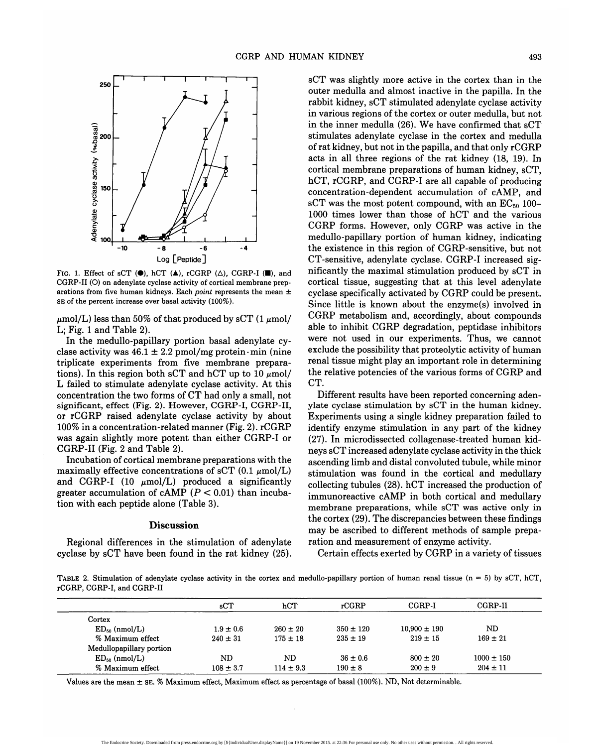

FIG. 1. Effect of sCT  $(\bullet)$ , hCT  $(\bullet)$ , rCGRP  $(\triangle)$ , CGRP-I  $(\blacksquare)$ , and CGRP-II (O) on adenylate cyclase activity of cortical membrane preparations from five human kidneys. Each *point* represents the mean ± SE of the percent increase over basal activity (100%).

 $\mu$ mol/L) less than 50% of that produced by sCT (1  $\mu$ mol/ L; Fig. 1 and Table 2).

In the medullo-papillary portion basal adenylate cyclase activity was  $46.1 \pm 2.2$  pmol/mg protein  $\cdot$ min (nine triplicate experiments from five membrane preparations). In this region both sCT and hCT up to 10  $\mu$ mol/ L failed to stimulate adenylate cyclase activity. At this concentration the two forms of CT had only a small, not significant, effect (Fig. 2). However, CGRP-I, CGRP-II, or rCGRP raised adenylate cyclase activity by about 100% in a concentration-related manner (Fig. 2). rCGRP was again slightly more potent than either CGRP-I or CGRP-II (Fig. 2 and Table 2).

Incubation of cortical membrane preparations with the maximally effective concentrations of sCT  $(0.1 \mu \text{mol/L})$ and CGRP-I (10  $\mu$ mol/L) produced a significantly greater accumulation of cAMP *(P <* 0.01) than incubation with each peptide alone (Table 3).

#### **Discussion**

Regional differences in the stimulation of adenylate cyclase by sCT have been found in the rat kidney (25). sCT was slightly more active in the cortex than in the outer medulla and almost inactive in the papilla. In the rabbit kidney, sCT stimulated adenylate cyclase activity in various regions of the cortex or outer medulla, but not in the inner medulla (26). We have confirmed that sCT stimulates adenylate cyclase in the cortex and medulla of rat kidney, but not in the papilla, and that only rCGRP acts in all three regions of the rat kidney (18, 19). In cortical membrane preparations of human kidney, sCT, hCT, rCGRP, and CGRP-I are all capable of producing concentration-dependent accumulation of cAMP, and sCT was the most potent compound, with an  $EC_{50}$  100-1000 times lower than those of hCT and the various CGRP forms. However, only CGRP was active in the medullo-papillary portion of human kidney, indicating the existence in this region of CGRP-sensitive, but not CT-sensitive, adenylate cyclase. CGRP-I increased significantly the maximal stimulation produced by sCT in cortical tissue, suggesting that at this level adenylate cyclase specifically activated by CGRP could be present. Since little is known about the enzyme(s) involved in CGRP metabolism and, accordingly, about compounds able to inhibit CGRP degradation, peptidase inhibitors were not used in our experiments. Thus, we cannot exclude the possibility that proteolytic activity of human renal tissue might play an important role in determining the relative potencies of the various forms of CGRP and CT.

Different results have been reported concerning adenylate cyclase stimulation by sCT in the human kidney. Experiments using a single kidney preparation failed to identify enzyme stimulation in any part of the kidney (27). In microdissected collagenase-treated human kidneys sCT increased adenylate cyclase activity in the thick ascending limb and distal convoluted tubule, while minor stimulation was found in the cortical and medullary collecting tubules (28). hCT increased the production of immunoreactive cAMP in both cortical and medullary membrane preparations, while sCT was active only in the cortex (29). The discrepancies between these findings may be ascribed to different methods of sample preparation and measurement of enzyme activity.

Certain effects exerted by CGRP in a variety of tissues

TABLE 2. Stimulation of adenylate cyclase activity in the cortex and medullo-papillary portion of human renal tissue ( $n = 5$ ) by sCT, hCT, rCGRP, CGRP-I, and CGRP-II

|                          | sCT           | hCT           | rCGRP         | CGRP-I           | CGRP-II        |
|--------------------------|---------------|---------------|---------------|------------------|----------------|
| Cortex                   |               |               |               |                  |                |
| $ED_{50}$ (nmol/L)       | $1.9 \pm 0.6$ | $260 \pm 20$  | $350 \pm 120$ | $10,900 \pm 190$ | ND.            |
| % Maximum effect         | $240 \pm 31$  | $175 \pm 18$  | $235 \pm 19$  | $219 \pm 15$     | $169 \pm 21$   |
| Medullopapillary portion |               |               |               |                  |                |
| $ED_{50}$ (nmol/L)       | ND            | ND.           | $36 \pm 0.6$  | $800 \pm 20$     | $1000 \pm 150$ |
| % Maximum effect         | $108 \pm 3.7$ | $114 \pm 9.3$ | $190 \pm 8$   | $200 \pm 9$      | $204 \pm 11$   |

Values are the mean ± SE. % Maximum effect, Maximum effect as percentage of basal (100%). ND, Not determinable.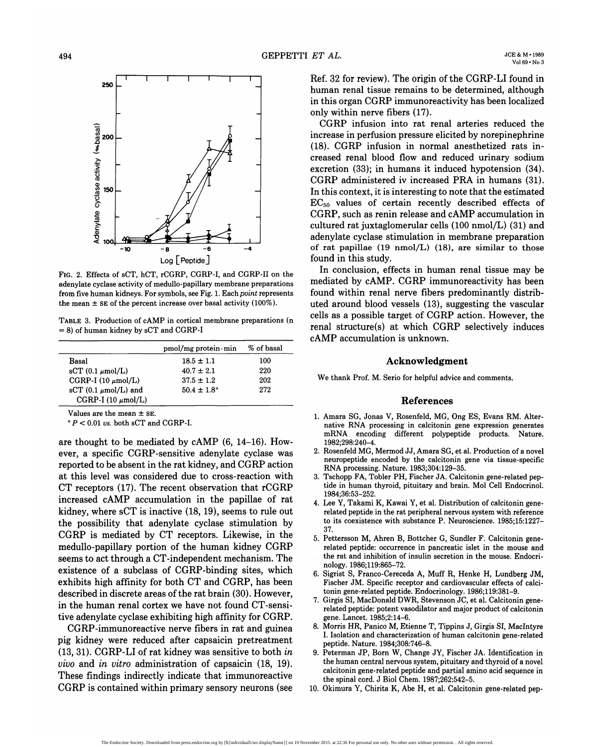

FIG. 2. Effects of sCT, hCT, rCGRP, CGRP-I, and CGRP-II on the adenylate cyclase activity of medullo-papillary membrane preparations from five human kidneys. For symbols, see Fig. 1. Each *point* represents the mean  $\pm$  SE of the percent increase over basal activity (100%).

TABLE 3. Production of cAMP in cortical membrane preparations (n = 8) of human kidney by sCT and CGRP-I

|                                  | $pmol/mg$ protein $\cdot$ min | % of basal |
|----------------------------------|-------------------------------|------------|
| Basal                            | $18.5 \pm 1.1$                | 100        |
| $\rm sCT$ (0.1 $\mu$ mol/L)      | $40.7 \pm 2.1$                | 220        |
| CGRP-I $(10 \mu \text{mol/L})$   | $37.5 \pm 1.2$                | 202        |
| sCT $(0.1 \mu \text{mol/L})$ and | $50.4 \pm 1.8^{\circ}$        | 272        |
| CGRP-I (10 $\mu$ mol/L)          |                               |            |

Values are the mean  $\pm$  SE.

 *P <* 0.01 us. both sCT and CGRP-I.

are thought to be mediated by cAMP (6, 14-16). However, a specific CGRP-sensitive adenylate cyclase was reported to be absent in the rat kidney, and CGRP action at this level was considered due to cross-reaction with CT receptors (17). The recent observation that rCGRP increased cAMP accumulation in the papillae of rat kidney, where sCT is inactive (18,19), seems to rule out the possibility that adenylate cyclase stimulation by CGRP is mediated by CT receptors. Likewise, in the medullo-papillary portion of the human kidney CGRP seems to act through a CT-independent mechanism. The existence of a subclass of CGRP-binding sites, which exhibits high affinity for both CT and CGRP, has been described in discrete areas of the rat brain (30). However, in the human renal cortex we have not found CT-sensitive adenylate cyclase exhibiting high affinity for CGRP.

CGRP-immunoreactive nerve fibers in rat and guinea pig kidney were reduced after capsaicin pretreatment (13, 31). CGRP-LI of rat kidney was sensitive to both *in vivo* and *in vitro* administration of capsaicin (18, 19). These findings indirectly indicate that immunoreactive CGRP is contained within primary sensory neurons (see

Ref. 32 for review). The origin of the CGRP-LI found in human renal tissue remains to be determined, although in this organ CGRP immunoreactivity has been localized only within nerve fibers (17).

CGRP infusion into rat renal arteries reduced the increase in perfusion pressure elicited by norepinephrine (18). CGRP infusion in normal anesthetized rats increased renal blood flow and reduced urinary sodium excretion (33); in humans it induced hypotension (34). CGRP administered iv increased PRA in humans (31). In this context, it is interesting to note that the estimated  $EC_{50}$  values of certain recently described effects of CGRP, such as renin release and cAMP accumulation in cultured rat juxtaglomerular cells (100 nmol/L) (31) and adenylate cyclase stimulation in membrane preparation of rat papillae (19 nmol/L) (18), are similar to those found in this study.

In conclusion, effects in human renal tissue may be mediated by cAMP. CGRP immunoreactivity has been found within renal nerve fibers predominantly distributed around blood vessels (13), suggesting the vascular cells as a possible target of CGRP action. However, the renal structure(s) at which CGRP selectively induces cAMP accumulation is unknown.

### **Acknowledgment**

We thank Prof. M. Serio for helpful advice and comments.

#### **References**

- 1. Amara SG, Jonas V, Rosenfeld, MG, Ong ES, Evans RM. Alternative RNA processing in calcitonin gene expression generates mRNA encoding different polypeptide products. Nature. 1982;298:240-4.
- 2. Rosenfeld MG, Mermod JJ, Amara SG, et al. Production of a novel neuropeptide encoded by the calcitonin gene via tissue-specific RNA processing. Nature. 1983;304:129-35.
- 3. Tschopp FA, Tobler PH, Fischer JA. Calcitonin gene-related peptide in human thyroid, pituitary and brain. Mol Cell Endocrinol. 1984;36:53-252.
- 4. Lee Y, Takami K, Kawai Y, et al. Distribution of calcitonin generelated peptide in the rat peripheral nervous system with reference to its coexistence with substance P. Neuroscience. 1985;15:1227- 37.
- 5. Pettersson M, Ahren B, Bottcher G, Sundler F. Calcitonin generelated peptide: occurrence in pancreatic islet in the mouse and the rat and inhibition of insulin secretion in the mouse. Endocrinology. 1986;119:865-72.
- 6. Sigrist S, Franco-Cereceda A, Muff R, Henke H, Lundberg JM, Fischer JM. Specific receptor and cardiovascular effects of calcitonin gene-related peptide. Endocrinology. 1986; 119:381-9.
- Girgis SI, MacDonald DWR, Stevenson JC, et al. Calcitonin generelated peptide: potent vasodilator and major product of calcitonin gene. Lancet. 1985;2:14-6.
- 8. Morris HR, Panico M, Etienne T, Tippins J, Girgis SI, Maclntyre I. Isolation and characterization of human calcitonin gene-related peptide. Nature. 1984;308:746-8.
- 9. Peterman JP, Born W, Change JY, Fischer JA. Identification in the human central nervous system, pituitary and thyroid of a novel calcitonin gene-related peptide and partial amino acid sequence in the spinal cord. J Biol Chem. 1987;262:542-5.
- 10. Okimura Y, Chirita K, Abe H, et al. Calcitonin gene-related pep-